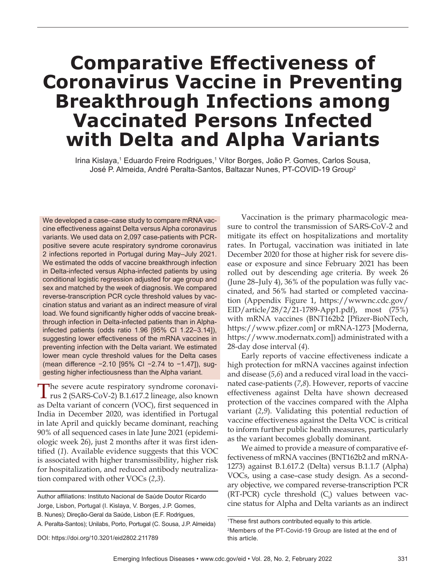# **Comparative Effectiveness of Coronavirus Vaccine in Preventing Breakthrough Infections among Vaccinated Persons Infected with Delta and Alpha Variants**

Irina Kislaya,<sup>1</sup> Eduardo Freire Rodrigues,<sup>1</sup> Vítor Borges, João P. Gomes, Carlos Sousa, José P. Almeida, André Peralta-Santos, Baltazar Nunes, PT-COVID-19 Group<sup>2</sup>

We developed a case-case study to compare mRNA vaccine effectiveness against Delta versus Alpha coronavirus variants. We used data on 2,097 case-patients with PCRpositive severe acute respiratory syndrome coronavirus 2 infections reported in Portugal during May-July 2021. We estimated the odds of vaccine breakthrough infection in Delta-infected versus Alpha-infected patients by using conditional logistic regression adjusted for age group and sex and matched by the week of diagnosis. We compared reverse-transcription PCR cycle threshold values by vaccination status and variant as an indirect measure of viral load. We found significantly higher odds of vaccine breakthrough infection in Delta-infected patients than in Alphainfected patients (odds ratio 1.96 [95% CI 1.22-3.14]), suggesting lower effectiveness of the mRNA vaccines in preventing infection with the Delta variant. We estimated lower mean cycle threshold values for the Delta cases (mean difference -2.10 [95% CI -2.74 to -1.47]), suggesting higher infectiousness than the Alpha variant.

The severe acute respiratory syndrome coronavirus 2 (SARS-CoV-2) B.1.617.2 lineage, also known as Delta variant of concern (VOC), first sequenced in India in December 2020, was identified in Portugal in late April and quickly became dominant, reaching 90% of all sequenced cases in late June 2021 (epidemiologic week 26), just 2 months after it was first identified (1). Available evidence suggests that this VOC is associated with higher transmissibility, higher risk for hospitalization, and reduced antibody neutralization compared with other VOCs (*2*,*3*).

Author affiliations: Instituto Nacional de Saúde Doutor Ricardo Jorge, Lisbon, Portugal (I. Kislaya, V. Borges, J.P. Gomes, B. Nunes); Direção-Geral da Saúde, Lisbon (E.F. Rodrigues,

A. Peralta-Santos); Unilabs, Porto, Portugal (C. Sousa, J.P. Almeida)

Vaccination is the primary pharmacologic measure to control the transmission of SARS-CoV-2 and mitigate its effect on hospitalizations and mortality rates. In Portugal, vaccination was initiated in late December 2020 for those at higher risk for severe disease or exposure and since February 2021 has been rolled out by descending age criteria. By week 26 (June 28–July 4), 36% of the population was fully vaccinated, and 56% had started or completed vaccination (Appendix Figure 1, https://wwwnc.cdc.gov/ EID/article/28/2/21-1789-App1.pdf), most (75%) with mRNA vaccines (BNT162b2 [Pfizer-BioNTech, https://www.pfizer.com] or mRNA-1273 [Moderna, https://www.modernatx.com]) administrated with a 28-day dose interval (*4*).

Early reports of vaccine effectiveness indicate a high protection for mRNA vaccines against infection and disease (*5*,*6*) and a reduced viral load in the vaccinated case-patients (*7*,*8*). However, reports of vaccine effectiveness against Delta have shown decreased protection of the vaccines compared with the Alpha variant (*2*,*9*). Validating this potential reduction of vaccine effectiveness against the Delta VOC is critical to inform further public health measures, particularly as the variant becomes globally dominant.

We aimed to provide a measure of comparative effectiveness of mRNA vaccines (BNT162b2 and mRNA-1273) against B.1.617.2 (Delta) versus B.1.1.7 (Alpha) VOCs, using a case–case study design. As a secondary objective, we compared reverse-transcription PCR  $(RT-PCR)$  cycle threshold  $(C_t)$  values between vaccine status for Alpha and Delta variants as an indirect

<sup>&</sup>lt;sup>1</sup>These first authors contributed equally to this article.  $2$ Members of the PT-Covid-19 Group are listed at the end of this article.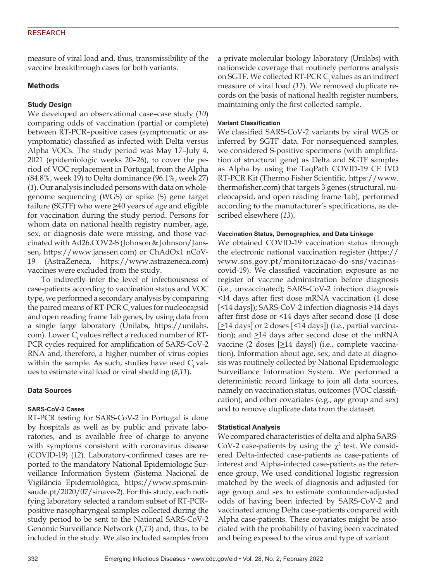# RESEARCH

measure of viral load and, thus, transmissibility of the vaccine breakthrough cases for both variants.

# **Methods**

# **Study Design**

We developed an observational case–case study (*10*) comparing odds of vaccination (partial or complete) between RT-PCR–positive cases (symptomatic or asymptomatic) classified as infected with Delta versus Alpha VOCs. The study period was May 17–July 4, 2021 (epidemiologic weeks 20–26), to cover the period of VOC replacement in Portugal, from the Alpha (84.8%, week 19) to Delta dominance (96.1%, week 27) (*1*). Our analysis included persons with data on wholegenome sequencing (WGS) or spike (S) gene target failure (SGTF) who were  $\geq 40$  years of age and eligible for vaccination during the study period. Persons for whom data on national health registry number, age, sex, or diagnosis date were missing, and those vaccinated with Ad26.COV2-S (Johnson & Johnson/Janssen, https://www.janssen.com) or ChAdOx1 nCoV-19 (AstraZeneca, https://www.astrazeneca.com) vaccines were excluded from the study.

To indirectly infer the level of infectiousness of case-patients according to vaccination status and VOC type, we performed a secondary analysis by comparing the paired means of  $RT$ -PCR  $C_t$  values for nucleocapsid and open reading frame 1ab genes, by using data from a single large laboratory (Unilabs, https://unilabs. com). Lower  $C_{\text{t}}$  values reflect a reduced number of RT-PCR cycles required for amplification of SARS-CoV-2 RNA and, therefore, a higher number of virus copies within the sample. As such, studies have used  $C_t$  values to estimate viral load or viral shedding (*8*,*11*).

# **Data Sources**

# **SARS-CoV-2 Cases**

RT-PCR testing for SARS-CoV-2 in Portugal is done by hospitals as well as by public and private laboratories, and is available free of charge to anyone with symptoms consistent with coronavirus disease (COVID-19) (*12*). Laboratory-confirmed cases are reported to the mandatory National Epidemiologic Surveillance Information System (Sistema Nacional de Vigilância Epidemiológica, https://www.spms.minsaude.pt/2020/07/sinave-2). For this study, each notifying laboratory selected a random subset of RT-PCR– positive nasopharyngeal samples collected during the study period to be sent to the National SARS-CoV-2 Genomic Surveillance Network (*1*,*13*) and, thus, to be included in the study. We also included samples from

a private molecular biology laboratory (Unilabs) with nationwide coverage that routinely performs analysis on SGTF. We collected RT-PCR  $C_t$  values as an indirect measure of viral load (*11*). We removed duplicate records on the basis of national health register numbers, maintaining only the first collected sample.

## **Variant Classification**

We classified SARS-CoV-2 variants by viral WGS or inferred by SGTF data. For nonsequenced samples, we considered S-positive specimens (with amplification of structural gene) as Delta and SGTF samples as Alpha by using the TaqPath COVID-19 CE IVD RT-PCR Kit (Thermo Fisher Scientific, https://www. thermofisher.com) that targets 3 genes (structural, nucleocapsid, and open reading frame 1ab), performed according to the manufacturer's specifications, as described elsewhere (*13*).

## **Vaccination Status, Demographics, and Data Linkage**

We obtained COVID-19 vaccination status through the electronic national vaccination register (https:// www.sns.gov.pt/monitorizacao-do-sns/vacinascovid-19). We classified vaccination exposure as no register of vaccine administration before diagnosis (i.e., unvaccinated); SARS-CoV-2 infection diagnosis <14 days after first dose mRNA vaccination (1 dose  $[$  <14 days]); SARS-CoV-2 infection diagnosis  $\geq$ 14 days after first dose or <14 days after second dose (1 dose  $[$ 214 days] or 2 doses [<14 days]) (i.e., partial vaccination); and  $\geq$ 14 days after second dose of the mRNA vaccine (2 doses [>14 days]) (i.e., complete vaccination). Information about age, sex, and date at diagnosis was routinely collected by National Epidemiologic Surveillance Information System. We performed a deterministic record linkage to join all data sources, namely on vaccination status, outcomes (VOC classification), and other covariates (e.g., age group and sex) and to remove duplicate data from the dataset.

# **Statistical Analysis**

We compared characteristics of delta and alpha SARS-CoV-2 case-patients by using the  $\chi^2$  test. We considered Delta-infected case-patients as case-patients of interest and Alpha-infected case-patients as the reference group. We used conditional logistic regression matched by the week of diagnosis and adjusted for age group and sex to estimate confounder-adjusted odds of having been infected by SARS-CoV-2 and vaccinated among Delta case-patients compared with Alpha case-patients. These covariates might be associated with the probability of having been vaccinated and being exposed to the virus and type of variant.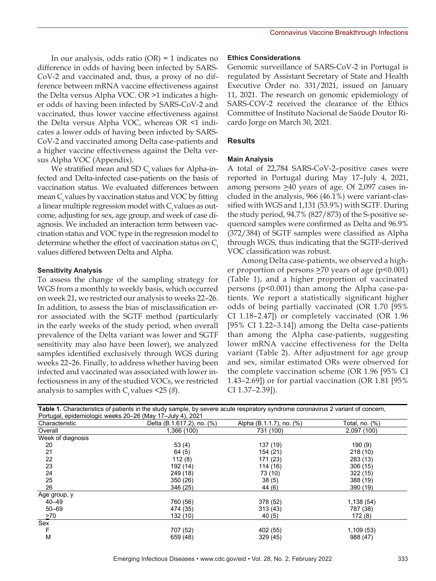In our analysis, odds ratio (OR) = 1 indicates no difference in odds of having been infected by SARS-CoV-2 and vaccinated and, thus, a proxy of no difference between mRNA vaccine effectiveness against the Delta versus Alpha VOC. OR >1 indicates a higher odds of having been infected by SARS-CoV-2 and vaccinated, thus lower vaccine effectiveness against the Delta versus Alpha VOC, whereas OR <1 indicates a lower odds of having been infected by SARS-CoV-2 and vaccinated among Delta case-patients and a higher vaccine effectiveness against the Delta versus Alpha VOC (Appendix).

We stratified mean and SD  $C_t$  values for Alpha-infected and Delta-infected case-patients on the basis of vaccination status. We evaluated differences between mean  $C_t$  values by vaccination status and VOC by fitting a linear multiple regression model with  $C_t$  values as outcome, adjusting for sex, age group, and week of case diagnosis. We included an interaction term between vaccination status and VOC type in the regression model to determine whether the effect of vaccination status on  $C_t$ values differed between Delta and Alpha.

## **Sensitivity Analysis**

To assess the change of the sampling strategy for WGS from a monthly to weekly basis, which occurred on week 21, we restricted our analysis to weeks 22–26. In addition, to assess the bias of misclassification error associated with the SGTF method (particularly in the early weeks of the study period, when overall prevalence of the Delta variant was lower and SGTF sensitivity may also have been lower), we analyzed samples identified exclusively through WGS during weeks 22–26. Finally, to address whether having been infected and vaccinated was associated with lower infectiousness in any of the studied VOCs, we restricted analysis to samples with  $C_t$  values <25 (8).

#### **Ethics Considerations**

Genomic surveillance of SARS-CoV-2 in Portugal is regulated by Assistant Secretary of State and Health Executive Order no. 331/2021, issued on January 11, 2021. The research on genomic epidemiology of SARS-COV-2 received the clearance of the Ethics Committee of Instituto Nacional de Saúde Doutor Ricardo Jorge on March 30, 2021.

## **Results**

#### **Main Analysis**

A total of 22,784 SARS-CoV-2–positive cases were reported in Portugal during May 17–July 4, 2021, among persons >40 years of age. Of 2,097 cases included in the analysis, 966 (46.1%) were variant-classified with WGS and 1,131 (53.9%) with SGTF. During the study period, 94.7% (827/873) of the S-positive sequenced samples were confirmed as Delta and 96.9% (372/384) of SGTF samples were classified as Alpha through WGS, thus indicating that the SGTF-derived VOC classification was robust.

Among Delta case-patients, we observed a higher proportion of persons  $\geq$ 70 years of age (p<0.001) (Table 1), and a higher proportion of vaccinated persons (p<0.001) than among the Alpha case-patients. We report a statistically significant higher odds of being partially vaccinated (OR 1.70 [95% CI 1.18–2.47]) or completely vaccinated (OR 1.96 [95% CI 1.22–3.14]) among the Delta case-patients than among the Alpha case-patients, suggesting lower mRNA vaccine effectiveness for the Delta variant (Table 2). After adjustment for age group and sex, similar estimated ORs were observed for the complete vaccination scheme (OR 1.96 [95% CI 1.43–2.69]) or for partial vaccination (OR 1.81 [95% CI 1.37–2.39]).

|                                                           | Table 1. Characteristics of patients in the study sample, by severe acute respiratory syndrome coronavirus 2 variant of concern, |                          |                |  |  |  |  |
|-----------------------------------------------------------|----------------------------------------------------------------------------------------------------------------------------------|--------------------------|----------------|--|--|--|--|
| Portugal, epidemiologic weeks 20–26 (May 17–July 4), 2021 |                                                                                                                                  |                          |                |  |  |  |  |
| Characteristic                                            | Delta (B.1.617.2), no. (%)                                                                                                       | Alpha (B.1.1.7), no. (%) | Total, no. (%) |  |  |  |  |
| Overall                                                   | 1,366 (100)                                                                                                                      | 731 (100)                | 2,097 (100)    |  |  |  |  |
| Week of diagnosis                                         |                                                                                                                                  |                          |                |  |  |  |  |
| 20                                                        | 53(4)                                                                                                                            | 137 (19)                 | 190(9)         |  |  |  |  |
| 21                                                        | 64 (5)                                                                                                                           | 154 (21)                 | 218 (10)       |  |  |  |  |
| 22                                                        | 112(8)                                                                                                                           | 171 (23)                 | 283 (13)       |  |  |  |  |
| 23                                                        | 192 (14)                                                                                                                         | 114(16)                  | 306(15)        |  |  |  |  |
| 24                                                        | 249 (18)                                                                                                                         | 73 (10)                  | 322 (15)       |  |  |  |  |
| 25                                                        | 350(26)                                                                                                                          | 38(5)                    | 388 (19)       |  |  |  |  |
| 26                                                        | 346 (25)                                                                                                                         | 44 (6)                   | 390 (19)       |  |  |  |  |
| Age group, y                                              |                                                                                                                                  |                          |                |  |  |  |  |
| $40 - 49$                                                 | 760 (56)                                                                                                                         | 378 (52)                 | 1,138(54)      |  |  |  |  |
| $50 - 69$                                                 | 474 (35)                                                                                                                         | 313(43)                  | 787 (38)       |  |  |  |  |
| $\geq 70$                                                 | 132 (10)                                                                                                                         | 40 (5)                   | 172(8)         |  |  |  |  |
| Sex                                                       |                                                                                                                                  |                          |                |  |  |  |  |
| F                                                         | 707 (52)                                                                                                                         | 402 (55)                 | 1,109(53)      |  |  |  |  |
| М                                                         | 659 (48)                                                                                                                         | 329 (45)                 | 988 (47)       |  |  |  |  |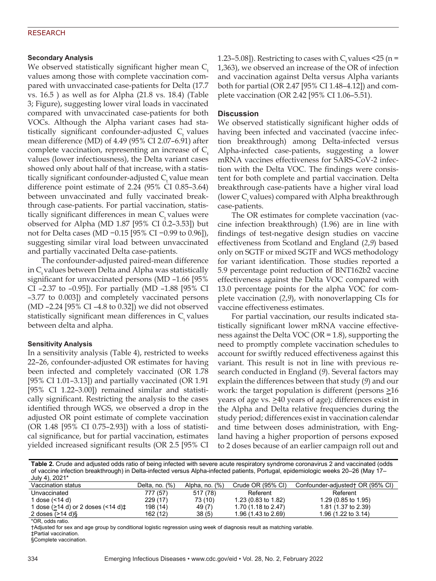# RESEARCH

## **Secondary Analysis**

We observed statistically significant higher mean  $C_t$ values among those with complete vaccination compared with unvaccinated case-patients for Delta (17.7 vs. 16.5 ) as well as for Alpha (21.8 vs. 18.4) (Table 3; Figure), suggesting lower viral loads in vaccinated compared with unvaccinated case-patients for both VOCs. Although the Alpha variant cases had statistically significant confounder-adjusted  $C_t$  values mean difference (MD) of 4.49 (95% CI 2.07–6.91) after complete vaccination, representing an increase of  $C_t$ values (lower infectiousness), the Delta variant cases showed only about half of that increase, with a statistically significant confounder-adjusted  $C_t$  value mean difference point estimate of 2.24 (95% CI 0.85–3.64) between unvaccinated and fully vaccinated breakthrough case-patients. For partial vaccination, statistically significant differences in mean  $C<sub>r</sub>$  values were observed for Alpha (MD 1.87 [95% CI 0.2–3.53]) but not for Delta cases (MD −0.15 [95% CI −0.99 to 0.96]), suggesting similar viral load between unvaccinated and partially vaccinated Delta case-patients.

The confounder-adjusted paired-mean difference in C<sub>r</sub> values between Delta and Alpha was statistically significant for unvaccinated persons (MD –1.66 [95% CI –2.37 to –0.95]). For partially (MD –1.88 [95% CI –3.77 to 0.003]) and completely vaccinated persons (MD –2.24 [95% CI –4.8 to 0.32]) we did not observed statistically significant mean differences in  $C_t$  values between delta and alpha.

# **Sensitivity Analysis**

In a sensitivity analysis (Table 4), restricted to weeks 22–26, confounder-adjusted OR estimates for having been infected and completely vaccinated (OR 1.78 [95% CI 1.01–3.13]) and partially vaccinated (OR 1.91 [95% CI 1.22–3.00]) remained similar and statistically significant. Restricting the analysis to the cases identified through WGS, we observed a drop in the adjusted OR point estimate of complete vaccination (OR 1.48 [95% CI 0.75–2.93]) with a loss of statistical significance, but for partial vaccination, estimates yielded increased significant results (OR 2.5 [95% CI

1.23–5.08]). Restricting to cases with  $C_r$  values <25 (n = 1,363), we observed an increase of the OR of infection and vaccination against Delta versus Alpha variants both for partial (OR 2.47 [95% CI 1.48–4.12]) and complete vaccination (OR 2.42 [95% CI 1.06–5.51).

## **Discussion**

We observed statistically significant higher odds of having been infected and vaccinated (vaccine infection breakthrough) among Delta-infected versus Alpha-infected case-patients, suggesting a lower mRNA vaccines effectiveness for SARS-CoV-2 infection with the Delta VOC. The findings were consistent for both complete and partial vaccination. Delta breakthrough case-patients have a higher viral load (lower  $C_{\mu}$  values) compared with Alpha breakthrough case-patients.

The OR estimates for complete vaccination (vaccine infection breakthrough) (1.96) are in line with findings of test-negative design studies on vaccine effectiveness from Scotland and England (*2*,*9*) based only on SGTF or mixed SGTF and WGS methodology for variant identification. Those studies reported a 5.9 percentage point reduction of BNT162b2 vaccine effectiveness against the Delta VOC compared with 13.0 percentage points for the alpha VOC for complete vaccination (*2*,*9*), with nonoverlapping CIs for vaccine effectiveness estimates.

For partial vaccination, our results indicated statistically significant lower mRNA vaccine effectiveness against the Delta VOC (OR = 1.8), supporting the need to promptly complete vaccination schedules to account for swiftly reduced effectiveness against this variant. This result is not in line with previous research conducted in England (*9*). Several factors may explain the differences between that study (*9*) and our work: the target population is different (persons  $\geq 16$ years of age vs.  $\geq 40$  years of age); differences exist in the Alpha and Delta relative frequencies during the study period; differences exist in vaccination calendar and time between doses administration, with England having a higher proportion of persons exposed to 2 doses because of an earlier campaign roll out and

Table 2. Crude and adjusted odds ratio of being infected with severe acute respiratory syndrome coronavirus 2 and vaccinated (odds of vaccine infection breakthrough) in Delta-infected versus Alpha-infected patients, Portugal, epidemiologic weeks 20-26 (May 17-July 4), 2021\*

| JUIY 41, ZUZ I                     |                  |                   |                     |                                   |
|------------------------------------|------------------|-------------------|---------------------|-----------------------------------|
| Vaccination status                 | Delta, no. $(%)$ | Alpha, no. $(\%)$ | Crude OR (95% CI)   | Confounder-adjusted + OR (95% CI) |
| Unvaccinated                       | 777 (57)         | 517 (78)          | Referent            | Referent                          |
| 1 dose (<14 d)                     | 229 (17)         | 73 (10)           | 1.23 (0.83 to 1.82) | 1.29 (0.85 to 1.95)               |
| 1 dose (>14 d) or 2 doses (<14 d)± | 198 (14)         | 49 (7)            | 1.70 (1.18 to 2.47) | 1.81 (1.37 to 2.39)               |
| 2 doses $(>14 \text{ d})\$         | 162 (12)         | 38(5)             | 1.96 (1.43 to 2.69) | 1.96 $(1.22 \text{ to } 3.14)$    |
|                                    |                  |                   |                     |                                   |

\*OR, odds ratio. 

†Adjusted for sex and age group by conditional logistic regression using week of diagnosis result as matching variable.

‡Partial vaccination.

§Complete vaccination.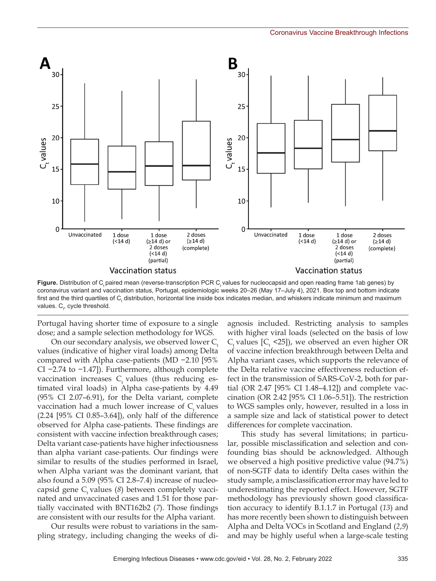

Figure. Distribution of C, paired mean (reverse-transcription PCR C, values for nucleocapsid and open reading frame 1ab genes) by coronavirus variant and vaccination status, Portugal, epidemiologic weeks 20–26 (May 17–July 4), 2021. Box top and bottom indicate first and the third quartiles of C, distribution, horizontal line inside box indicates median, and whiskers indicate minimum and maximum values.  $\mathsf{C}_{\!t^{\prime\!$  cycle threshold.

Portugal having shorter time of exposure to a single dose; and a sample selection methodology for WGS.

On our secondary analysis, we observed lower  $C_{\mu}$ values (indicative of higher viral loads) among Delta compared with Alpha case-patients (MD −2.10 [95% CI −2.74 to −1.47]). Furthermore, although complete vaccination increases  $C_t$  values (thus reducing estimated viral loads) in Alpha case-patients by 4.49 (95% CI 2.07–6.91), for the Delta variant, complete vaccination had a much lower increase of  $C<sub>t</sub>$  values (2.24 [95% CI 0.85–3.64]), only half of the difference observed for Alpha case-patients. These findings are consistent with vaccine infection breakthrough cases; Delta variant case-patients have higher infectiousness than alpha variant case-patients. Our findings were similar to results of the studies performed in Israel, when Alpha variant was the dominant variant, that also found a 5.09 (95% CI 2.8–7.4) increase of nucleocapsid gene C<sub>r</sub> values (8) between completely vaccinated and unvaccinated cases and 1.51 for those partially vaccinated with BNT162b2 (*7*). Those findings are consistent with our results for the Alpha variant.

Our results were robust to variations in the sampling strategy, including changing the weeks of di-

agnosis included. Restricting analysis to samples with higher viral loads (selected on the basis of low  $C_{t}$  values  $[C_{t}$  <25]), we observed an even higher OR of vaccine infection breakthrough between Delta and Alpha variant cases, which supports the relevance of the Delta relative vaccine effectiveness reduction effect in the transmission of SARS-CoV-2, both for partial (OR 2.47 [95% CI 1.48–4.12]) and complete vaccination (OR 2.42 [95% CI 1.06–5.51]). The restriction to WGS samples only, however, resulted in a loss in a sample size and lack of statistical power to detect differences for complete vaccination.

This study has several limitations; in particular, possible misclassification and selection and confounding bias should be acknowledged. Although we observed a high positive predictive value (94.7%) of non-SGTF data to identify Delta cases within the study sample, a misclassification error may have led to underestimating the reported effect. However, SGTF methodology has previously shown good classification accuracy to identify B.1.1.7 in Portugal (*13*) and has more recently been shown to distinguish between Alpha and Delta VOCs in Scotland and England (*2*,*9*) and may be highly useful when a large-scale testing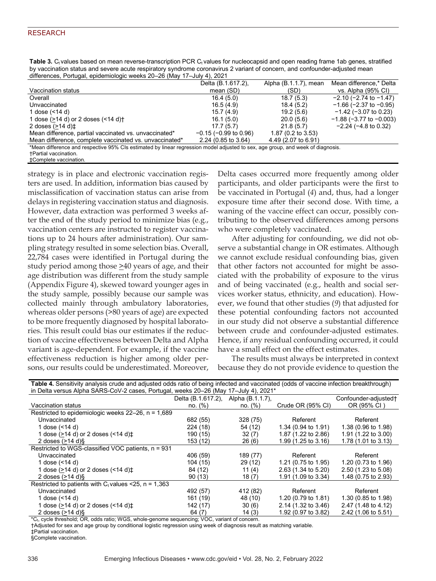Table 3. C<sub>t</sub> values based on mean reverse-transcription PCR C<sub>t</sub> values for nucleocapsid and open reading frame 1ab genes, stratified by vaccination status and severe acute respiratory syndrome coronavirus 2 variant of concern, and confounder-adjusted mean differences, Portugal, epidemiologic weeks 20–26 (May 17–July 4), 2021

| $\frac{1}{2}$ and $\frac{1}{2}$ and $\frac{1}{2}$ and $\frac{1}{2}$ and $\frac{1}{2}$ and $\frac{1}{2}$ and $\frac{1}{2}$ and $\frac{1}{2}$ and $\frac{1}{2}$ and $\frac{1}{2}$ and $\frac{1}{2}$ and $\frac{1}{2}$ and $\frac{1}{2}$ and $\frac{1}{2}$ and $\frac{1}{2}$ and $\frac{1}{2}$ a |                            |                       |                                 |  |  |  |  |
|-----------------------------------------------------------------------------------------------------------------------------------------------------------------------------------------------------------------------------------------------------------------------------------------------|----------------------------|-----------------------|---------------------------------|--|--|--|--|
|                                                                                                                                                                                                                                                                                               | Delta (B.1.617.2),         | Alpha (B.1.1.7), mean | Mean difference,* Delta         |  |  |  |  |
| Vaccination status                                                                                                                                                                                                                                                                            | mean (SD)                  | (SD)                  | vs. Alpha (95% CI)              |  |  |  |  |
| Overall                                                                                                                                                                                                                                                                                       | 16.4 (5.0)                 | 18.7(5.3)             | $-2.10$ ( $-2.74$ to $-1.47$ )  |  |  |  |  |
| Unvaccinated                                                                                                                                                                                                                                                                                  | 16.5(4.9)                  | 18.4(5.2)             | $-1.66$ ( $-2.37$ to $-0.95$ )  |  |  |  |  |
| 1 dose (<14 d)                                                                                                                                                                                                                                                                                | 15.7(4.9)                  | 19.2(5.6)             | $-1.42$ ( $-3.07$ to 0.23)      |  |  |  |  |
| 1 dose $($ >14 d) or 2 doses $($ <14 d) $\dagger$                                                                                                                                                                                                                                             | 16.1(5.0)                  | 20.0(5.6)             | $-1.88$ ( $-3.77$ to $-0.003$ ) |  |  |  |  |
| 2 doses $(>14$ d) $\pm$                                                                                                                                                                                                                                                                       | 17.7(5.7)                  | 21.8(5.7)             | $-2.24$ ( $-4.8$ to 0.32)       |  |  |  |  |
| Mean difference, partial vaccinated vs. unvaccinated*                                                                                                                                                                                                                                         | $-0.15$ ( $-0.99$ to 0.96) | 1.87 (0.2 to 3.53)    |                                 |  |  |  |  |
| Mean difference, complete vaccinated vs. unvaccinated*                                                                                                                                                                                                                                        | $2.24$ (0.85 to 3.64)      | 4.49 (2.07 to 6.91)   |                                 |  |  |  |  |
| *Mean difference and respective 95% CIs estimated by linear regression model adjusted to sex, age group, and week of diagnosis.                                                                                                                                                               |                            |                       |                                 |  |  |  |  |
| <b>+Partial vaccination.</b>                                                                                                                                                                                                                                                                  |                            |                       |                                 |  |  |  |  |
| ±Complete vaccination.                                                                                                                                                                                                                                                                        |                            |                       |                                 |  |  |  |  |

strategy is in place and electronic vaccination registers are used. In addition, information bias caused by misclassification of vaccination status can arise from delays in registering vaccination status and diagnosis. However, data extraction was performed 3 weeks after the end of the study period to minimize bias (e.g., vaccination centers are instructed to register vaccinations up to 24 hours after administration). Our sampling strategy resulted in some selection bias. Overall, 22,784 cases were identified in Portugal during the study period among those  $\geq 40$  years of age, and their age distribution was different from the study sample (Appendix Figure 4), skewed toward younger ages in the study sample, possibly because our sample was collected mainly through ambulatory laboratories, whereas older persons (>80 years of age) are expected to be more frequently diagnosed by hospital laboratories. This result could bias our estimates if the reduction of vaccine effectiveness between Delta and Alpha variant is age-dependent. For example, if the vaccine effectiveness reduction is higher among older persons, our results could be underestimated. Moreover,

Delta cases occurred more frequently among older participants, and older participants were the first to be vaccinated in Portugal (*4*) and, thus, had a longer exposure time after their second dose. With time, a waning of the vaccine effect can occur, possibly contributing to the observed differences among persons who were completely vaccinated.

After adjusting for confounding, we did not observe a substantial change in OR estimates. Although we cannot exclude residual confounding bias, given that other factors not accounted for might be associated with the probability of exposure to the virus and of being vaccinated (e.g., health and social services worker status, ethnicity, and education). However, we found that other studies (*9*) that adjusted for these potential confounding factors not accounted in our study did not observe a substantial difference between crude and confounder-adjusted estimates. Hence, if any residual confounding occurred, it could have a small effect on the effect estimates.

The results must always be interpreted in context because they do not provide evidence to question the

| Table 4. Sensitivity analysis crude and adjusted odds ratio of being infected and vaccinated (odds of vaccine infection breakthrough) |                    |                  |                                |                      |  |  |  |
|---------------------------------------------------------------------------------------------------------------------------------------|--------------------|------------------|--------------------------------|----------------------|--|--|--|
| in Delta versus Alpha SARS-CoV-2 cases, Portugal, weeks 20-26 (May 17-July 4), 2021*                                                  |                    |                  |                                |                      |  |  |  |
|                                                                                                                                       | Delta (B.1.617.2), | Alpha (B.1.1.7), |                                | Confounder-adjusted† |  |  |  |
| Vaccination status                                                                                                                    | no. (%)            | no. (%)          | Crude OR (95% CI)              | OR (95% CI)          |  |  |  |
| Restricted to epidemiologic weeks $22-26$ , $n = 1,689$                                                                               |                    |                  |                                |                      |  |  |  |
| Unvaccinated                                                                                                                          | 682 (55)           | 328 (75)         | Referent                       | Referent             |  |  |  |
| 1 dose (<14 d)                                                                                                                        | 224 (18)           | 54 (12)          | 1.34 (0.94 to 1.91)            | 1.38 (0.96 to 1.98)  |  |  |  |
| 1 dose (>14 d) or 2 doses $($ < 14 d) $\pm$                                                                                           | 190 (15)           | 32(7)            | 1.87 (1.22 to 2.86)            | 1.91 (1.22 to 3.00)  |  |  |  |
| 2 doses $(>14 \text{ d})$ §                                                                                                           | 153 (12)           | 26(6)            | 1.99 (1.25 to 3.16)            | 1.78 (1.01 to 3.13)  |  |  |  |
| Restricted to WGS-classified VOC patients, n = 931                                                                                    |                    |                  |                                |                      |  |  |  |
| Unvaccinated                                                                                                                          | 406 (59)           | 189 (77)         | Referent                       | Referent             |  |  |  |
| 1 dose (<14 d)                                                                                                                        | 104 (15)           | 29(12)           | 1.21 (0.75 to 1.95)            | 1.20 (0.73 to 1.96)  |  |  |  |
| 1 dose $($ >14 d) or 2 doses $($ < 14 d) $\pm$                                                                                        | 84 (12)            | 11 $(4)$         | 2.63 (1.34 to 5.20)            | 2.50 (1.23 to 5.08)  |  |  |  |
| 2 doses $(>14 \text{ d})$ §                                                                                                           | 90(13)             | 18(7)            | 1.91 (1.09 to 3.34)            | 1.48 (0.75 to 2.93)  |  |  |  |
| Restricted to patients with $C_t$ values <25, n = 1,363                                                                               |                    |                  |                                |                      |  |  |  |
| Unvaccinated                                                                                                                          | 492 (57)           | 412 (82)         | Referent                       | Referent             |  |  |  |
| 1 dose (<14 d)                                                                                                                        | 161 (19)           | 48 (10)          | 1.20 $(0.79 \text{ to } 1.81)$ | 1.30 (0.85 to 1.98)  |  |  |  |
| 1 dose $($ >14 d) or 2 doses $($ < 14 d) $\pm$                                                                                        | 142 (17)           | 30(6)            | 2.14 (1.32 to 3.46)            | 2.47 (1.48 to 4.12)  |  |  |  |
| 2 doses (>14 d)§                                                                                                                      | 64 (7)             | 14(3)            | 1.92 (0.97 to 3.82)            | 2.42 (1.06 to 5.51)  |  |  |  |

\*C<sub>t</sub>, cycle threshold; OR, odds ratio; WGS, whole-genome sequencing; VOC, variant of concern.

†Adjusted for sex and age group by conditional logistic regression using week of diagnosis result as matching variable.

‡Partial vaccination.

§Complete vaccination